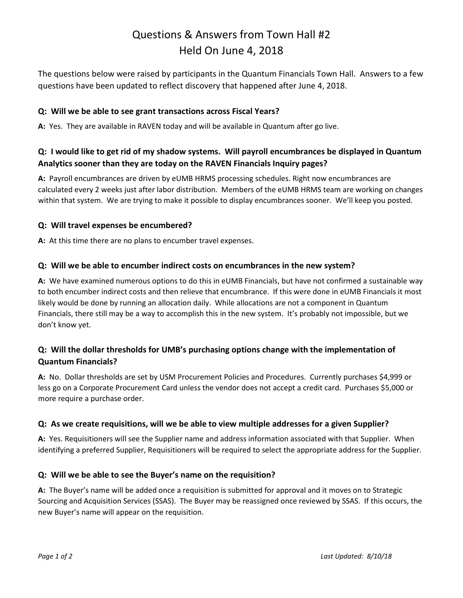## Questions & Answers from Town Hall #2 Held On June 4, 2018

The questions below were raised by participants in the Quantum Financials Town Hall. Answers to a few questions have been updated to reflect discovery that happened after June 4, 2018.

#### **Q: Will we be able to see grant transactions across Fiscal Years?**

**A:** Yes. They are available in RAVEN today and will be available in Quantum after go live.

## **Q: I would like to get rid of my shadow systems. Will payroll encumbrances be displayed in Quantum Analytics sooner than they are today on the RAVEN Financials Inquiry pages?**

**A:** Payroll encumbrances are driven by eUMB HRMS processing schedules. Right now encumbrances are calculated every 2 weeks just after labor distribution. Members of the eUMB HRMS team are working on changes within that system. We are trying to make it possible to display encumbrances sooner. We'll keep you posted.

#### **Q: Will travel expenses be encumbered?**

**A:** At this time there are no plans to encumber travel expenses.

#### **Q: Will we be able to encumber indirect costs on encumbrances in the new system?**

**A:** We have examined numerous options to do this in eUMB Financials, but have not confirmed a sustainable way to both encumber indirect costs and then relieve that encumbrance. If this were done in eUMB Financials it most likely would be done by running an allocation daily. While allocations are not a component in Quantum Financials, there still may be a way to accomplish this in the new system. It's probably not impossible, but we don't know yet.

## **Q: Will the dollar thresholds for UMB's purchasing options change with the implementation of Quantum Financials?**

**A:** No. Dollar thresholds are set by USM Procurement Policies and Procedures. Currently purchases \$4,999 or less go on a Corporate Procurement Card unless the vendor does not accept a credit card. Purchases \$5,000 or more require a purchase order.

### **Q: As we create requisitions, will we be able to view multiple addresses for a given Supplier?**

**A:** Yes. Requisitioners will see the Supplier name and address information associated with that Supplier. When identifying a preferred Supplier, Requisitioners will be required to select the appropriate address for the Supplier.

### **Q: Will we be able to see the Buyer's name on the requisition?**

**A:** The Buyer's name will be added once a requisition is submitted for approval and it moves on to Strategic Sourcing and Acquisition Services (SSAS). The Buyer may be reassigned once reviewed by SSAS. If this occurs, the new Buyer's name will appear on the requisition.